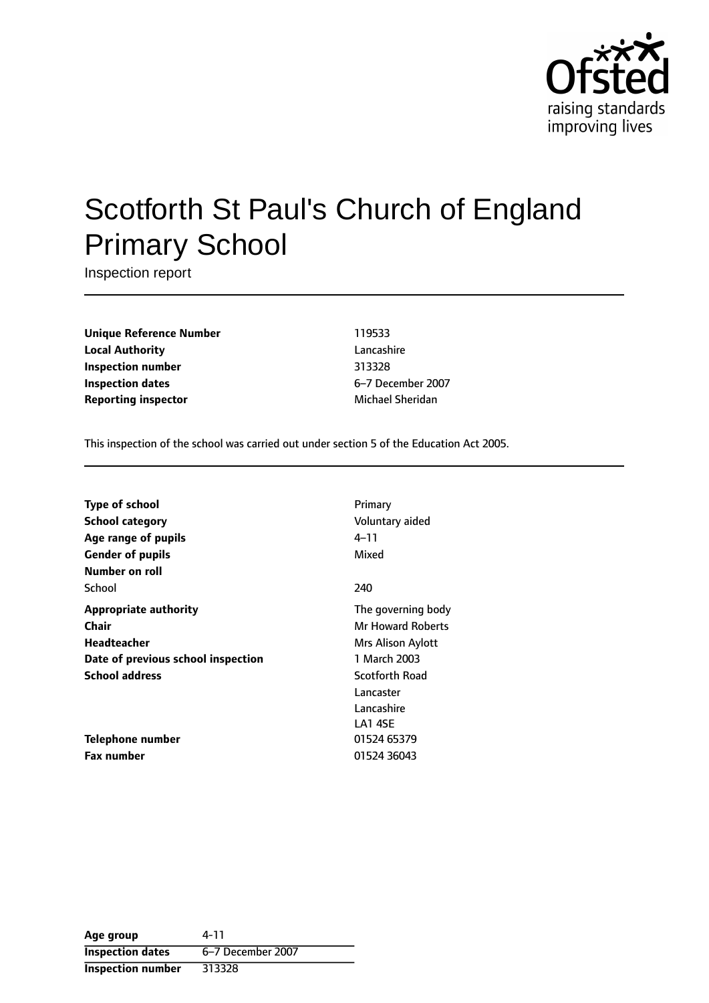

# Scotforth St Paul's Church of England Primary School

Inspection report

**Unique Reference Number** 119533 **Local Authority** Lancashire **Inspection number** 313328 **Inspection dates** 6-7 December 2007 **Reporting inspector** Michael Sheridan

This inspection of the school was carried out under section 5 of the Education Act 2005.

| Type of school                     | Primary                  |
|------------------------------------|--------------------------|
| School category                    | Voluntary aided          |
| Age range of pupils                | 4–11                     |
| <b>Gender of pupils</b>            | Mixed                    |
| Number on roll                     |                          |
| School                             | 240                      |
| <b>Appropriate authority</b>       | The governing body       |
| Chair                              | <b>Mr Howard Roberts</b> |
| <b>Headteacher</b>                 | Mrs Alison Aylott        |
| Date of previous school inspection | 1 March 2003             |
| <b>School address</b>              | Scotforth Road           |
|                                    | Lancaster                |
|                                    | Lancashire               |
|                                    | LA1 4SF                  |
| Telephone number                   | 01524 65379              |
| <b>Fax number</b>                  | 01524 36043              |

**Age group** 4-11 **Inspection dates** 6-7 December 2007 **Inspection number** 313328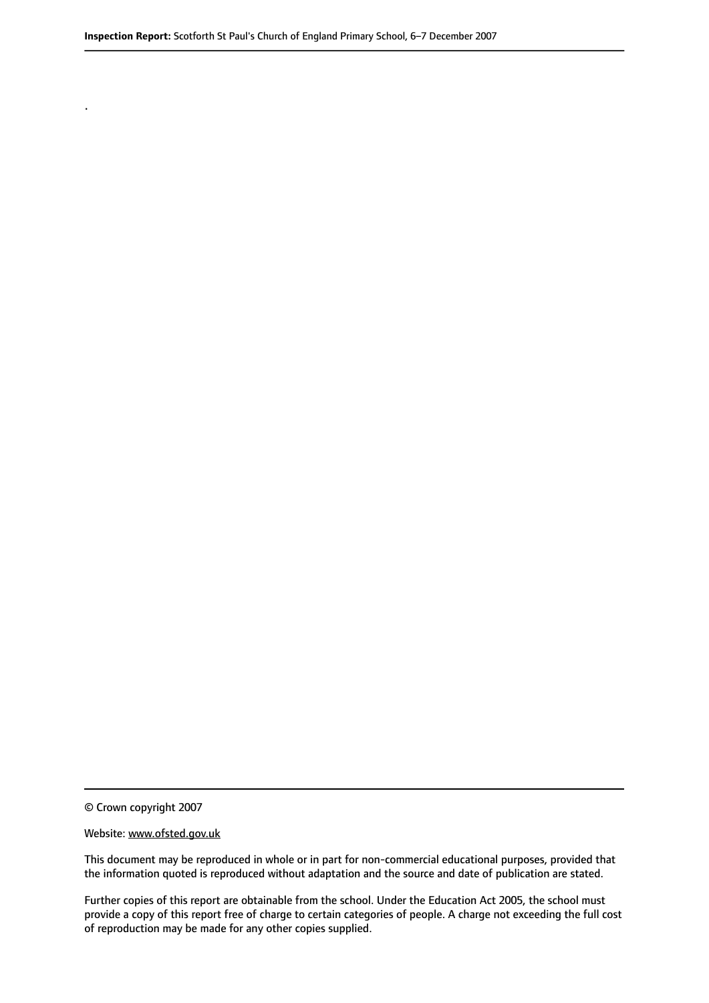© Crown copyright 2007

.

#### Website: www.ofsted.gov.uk

This document may be reproduced in whole or in part for non-commercial educational purposes, provided that the information quoted is reproduced without adaptation and the source and date of publication are stated.

Further copies of this report are obtainable from the school. Under the Education Act 2005, the school must provide a copy of this report free of charge to certain categories of people. A charge not exceeding the full cost of reproduction may be made for any other copies supplied.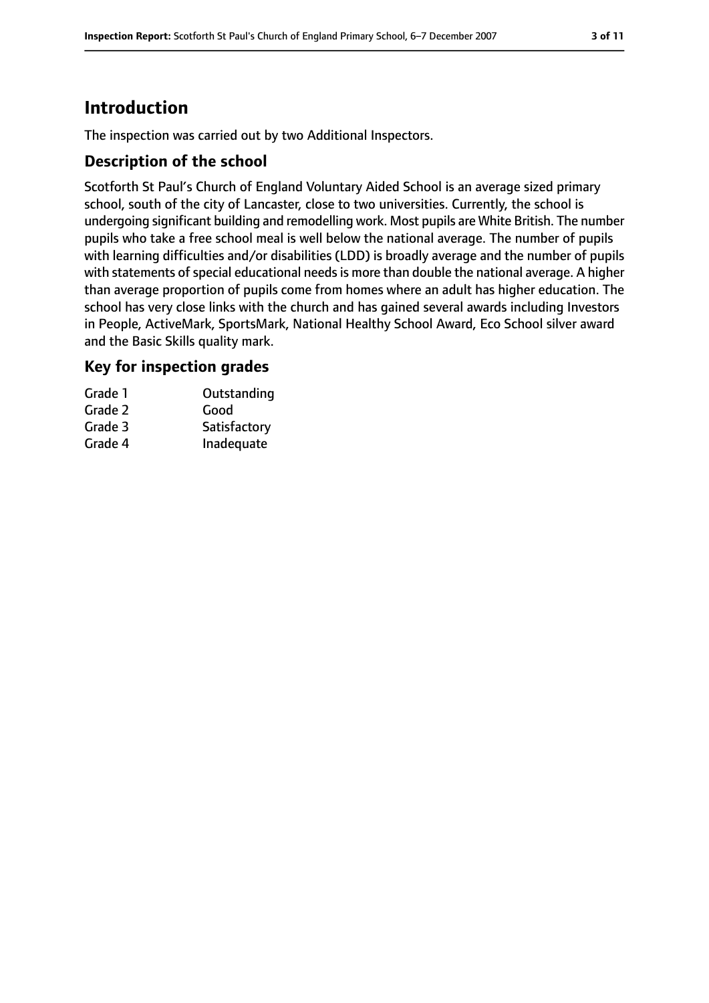# **Introduction**

The inspection was carried out by two Additional Inspectors.

#### **Description of the school**

Scotforth St Paul's Church of England Voluntary Aided School is an average sized primary school, south of the city of Lancaster, close to two universities. Currently, the school is undergoing significant building and remodelling work. Most pupils are White British. The number pupils who take a free school meal is well below the national average. The number of pupils with learning difficulties and/or disabilities (LDD) is broadly average and the number of pupils with statements of special educational needs is more than double the national average. A higher than average proportion of pupils come from homes where an adult has higher education. The school has very close links with the church and has gained several awards including Investors in People, ActiveMark, SportsMark, National Healthy School Award, Eco School silver award and the Basic Skills quality mark.

#### **Key for inspection grades**

| Grade 1 | Outstanding  |
|---------|--------------|
| Grade 2 | Good         |
| Grade 3 | Satisfactory |
| Grade 4 | Inadequate   |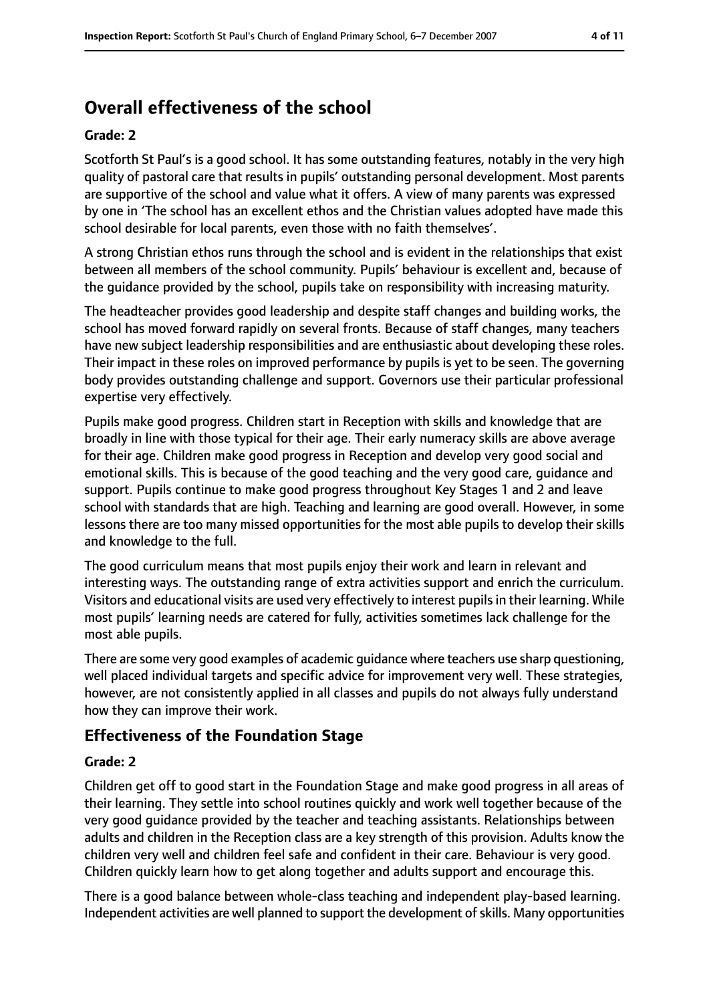# **Overall effectiveness of the school**

#### **Grade: 2**

Scotforth St Paul's is a good school. It has some outstanding features, notably in the very high quality of pastoral care that results in pupils' outstanding personal development. Most parents are supportive of the school and value what it offers. A view of many parents was expressed by one in 'The school has an excellent ethos and the Christian values adopted have made this school desirable for local parents, even those with no faith themselves'.

A strong Christian ethos runs through the school and is evident in the relationships that exist between all members of the school community. Pupils' behaviour is excellent and, because of the guidance provided by the school, pupils take on responsibility with increasing maturity.

The headteacher provides good leadership and despite staff changes and building works, the school has moved forward rapidly on several fronts. Because of staff changes, many teachers have new subject leadership responsibilities and are enthusiastic about developing these roles. Their impact in these roles on improved performance by pupils is yet to be seen. The governing body provides outstanding challenge and support. Governors use their particular professional expertise very effectively.

Pupils make good progress. Children start in Reception with skills and knowledge that are broadly in line with those typical for their age. Their early numeracy skills are above average for their age. Children make good progress in Reception and develop very good social and emotional skills. This is because of the good teaching and the very good care, guidance and support. Pupils continue to make good progress throughout Key Stages 1 and 2 and leave school with standards that are high. Teaching and learning are good overall. However, in some lessons there are too many missed opportunities for the most able pupils to develop their skills and knowledge to the full.

The good curriculum means that most pupils enjoy their work and learn in relevant and interesting ways. The outstanding range of extra activities support and enrich the curriculum. Visitors and educational visits are used very effectively to interest pupils in their learning. While most pupils' learning needs are catered for fully, activities sometimes lack challenge for the most able pupils.

There are some very good examples of academic guidance where teachers use sharp questioning, well placed individual targets and specific advice for improvement very well. These strategies, however, are not consistently applied in all classes and pupils do not always fully understand how they can improve their work.

#### **Effectiveness of the Foundation Stage**

#### **Grade: 2**

Children get off to good start in the Foundation Stage and make good progress in all areas of their learning. They settle into school routines quickly and work well together because of the very good guidance provided by the teacher and teaching assistants. Relationships between adults and children in the Reception class are a key strength of this provision. Adults know the children very well and children feel safe and confident in their care. Behaviour is very good. Children quickly learn how to get along together and adults support and encourage this.

There is a good balance between whole-class teaching and independent play-based learning. Independent activities are well planned to support the development of skills. Many opportunities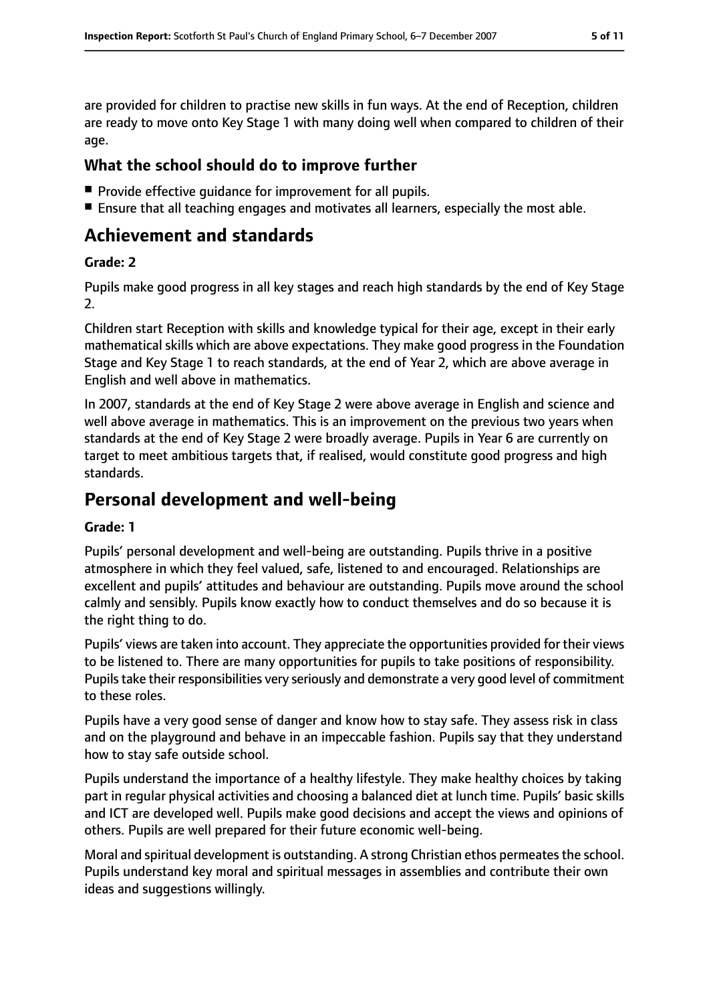are provided for children to practise new skills in fun ways. At the end of Reception, children are ready to move onto Key Stage 1 with many doing well when compared to children of their age.

## **What the school should do to improve further**

- Provide effective quidance for improvement for all pupils.
- Ensure that all teaching engages and motivates all learners, especially the most able.

## **Achievement and standards**

#### **Grade: 2**

Pupils make good progress in all key stages and reach high standards by the end of Key Stage 2.

Children start Reception with skills and knowledge typical for their age, except in their early mathematical skills which are above expectations. They make good progress in the Foundation Stage and Key Stage 1 to reach standards, at the end of Year 2, which are above average in English and well above in mathematics.

In 2007, standards at the end of Key Stage 2 were above average in English and science and well above average in mathematics. This is an improvement on the previous two years when standards at the end of Key Stage 2 were broadly average. Pupils in Year 6 are currently on target to meet ambitious targets that, if realised, would constitute good progress and high standards.

## **Personal development and well-being**

#### **Grade: 1**

Pupils' personal development and well-being are outstanding. Pupils thrive in a positive atmosphere in which they feel valued, safe, listened to and encouraged. Relationships are excellent and pupils' attitudes and behaviour are outstanding. Pupils move around the school calmly and sensibly. Pupils know exactly how to conduct themselves and do so because it is the right thing to do.

Pupils' views are taken into account. They appreciate the opportunities provided for their views to be listened to. There are many opportunities for pupils to take positions of responsibility. Pupils take their responsibilities very seriously and demonstrate a very good level of commitment to these roles.

Pupils have a very good sense of danger and know how to stay safe. They assess risk in class and on the playground and behave in an impeccable fashion. Pupils say that they understand how to stay safe outside school.

Pupils understand the importance of a healthy lifestyle. They make healthy choices by taking part in regular physical activities and choosing a balanced diet at lunch time. Pupils' basic skills and ICT are developed well. Pupils make good decisions and accept the views and opinions of others. Pupils are well prepared for their future economic well-being.

Moral and spiritual development is outstanding. A strong Christian ethos permeatesthe school. Pupils understand key moral and spiritual messages in assemblies and contribute their own ideas and suggestions willingly.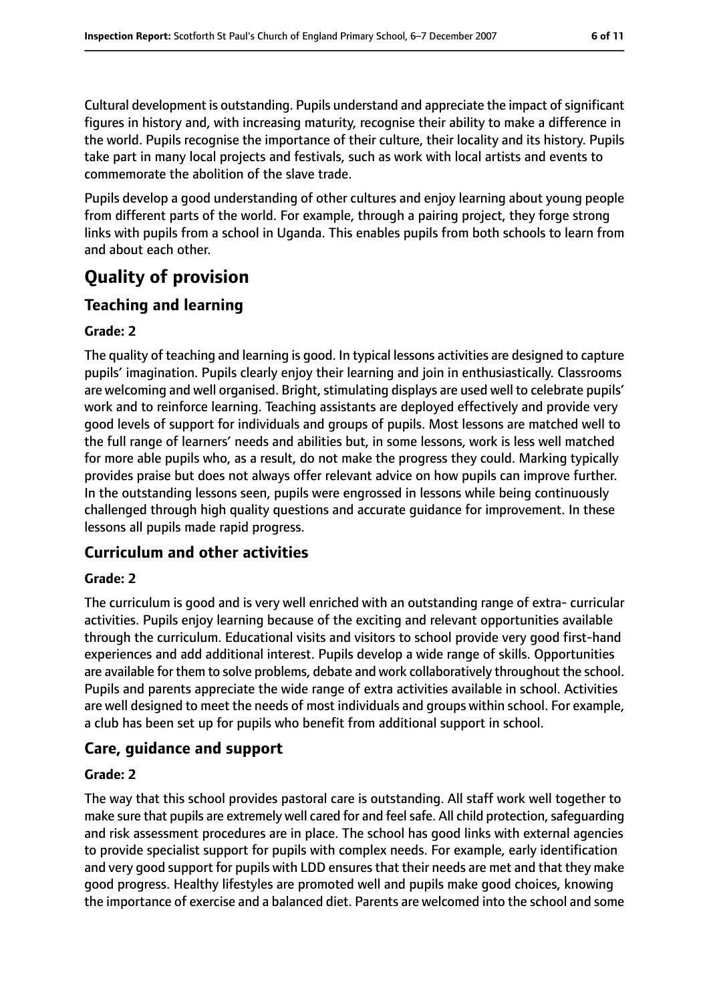Cultural development is outstanding. Pupils understand and appreciate the impact of significant figures in history and, with increasing maturity, recognise their ability to make a difference in the world. Pupils recognise the importance of their culture, their locality and its history. Pupils take part in many local projects and festivals, such as work with local artists and events to commemorate the abolition of the slave trade.

Pupils develop a good understanding of other cultures and enjoy learning about young people from different parts of the world. For example, through a pairing project, they forge strong links with pupils from a school in Uganda. This enables pupils from both schools to learn from and about each other.

# **Quality of provision**

## **Teaching and learning**

#### **Grade: 2**

The quality of teaching and learning is good. In typical lessons activities are designed to capture pupils' imagination. Pupils clearly enjoy their learning and join in enthusiastically. Classrooms are welcoming and well organised. Bright, stimulating displays are used well to celebrate pupils' work and to reinforce learning. Teaching assistants are deployed effectively and provide very good levels of support for individuals and groups of pupils. Most lessons are matched well to the full range of learners' needs and abilities but, in some lessons, work is less well matched for more able pupils who, as a result, do not make the progress they could. Marking typically provides praise but does not always offer relevant advice on how pupils can improve further. In the outstanding lessons seen, pupils were engrossed in lessons while being continuously challenged through high quality questions and accurate guidance for improvement. In these lessons all pupils made rapid progress.

## **Curriculum and other activities**

## **Grade: 2**

The curriculum is good and is very well enriched with an outstanding range of extra- curricular activities. Pupils enjoy learning because of the exciting and relevant opportunities available through the curriculum. Educational visits and visitors to school provide very good first-hand experiences and add additional interest. Pupils develop a wide range of skills. Opportunities are available for them to solve problems, debate and work collaboratively throughout the school. Pupils and parents appreciate the wide range of extra activities available in school. Activities are well designed to meet the needs of most individuals and groups within school. For example, a club has been set up for pupils who benefit from additional support in school.

## **Care, guidance and support**

#### **Grade: 2**

The way that this school provides pastoral care is outstanding. All staff work well together to make sure that pupils are extremely well cared for and feel safe. All child protection, safequarding and risk assessment procedures are in place. The school has good links with external agencies to provide specialist support for pupils with complex needs. For example, early identification and very good support for pupils with LDD ensuresthat their needs are met and that they make good progress. Healthy lifestyles are promoted well and pupils make good choices, knowing the importance of exercise and a balanced diet. Parents are welcomed into the school and some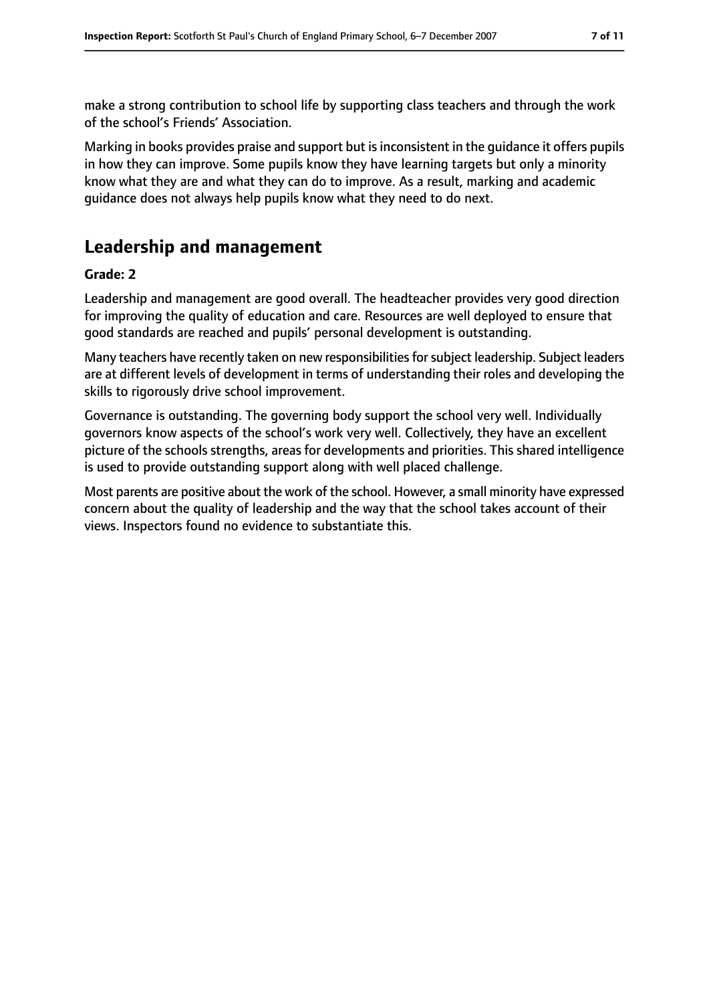make a strong contribution to school life by supporting class teachers and through the work of the school's Friends' Association.

Marking in books provides praise and support but is inconsistent in the guidance it offers pupils in how they can improve. Some pupils know they have learning targets but only a minority know what they are and what they can do to improve. As a result, marking and academic guidance does not always help pupils know what they need to do next.

# **Leadership and management**

#### **Grade: 2**

Leadership and management are good overall. The headteacher provides very good direction for improving the quality of education and care. Resources are well deployed to ensure that good standards are reached and pupils' personal development is outstanding.

Many teachers have recently taken on new responsibilities for subject leadership. Subject leaders are at different levels of development in terms of understanding their roles and developing the skills to rigorously drive school improvement.

Governance is outstanding. The governing body support the school very well. Individually governors know aspects of the school's work very well. Collectively, they have an excellent picture of the schools strengths, areas for developments and priorities. This shared intelligence is used to provide outstanding support along with well placed challenge.

Most parents are positive about the work of the school. However, a small minority have expressed concern about the quality of leadership and the way that the school takes account of their views. Inspectors found no evidence to substantiate this.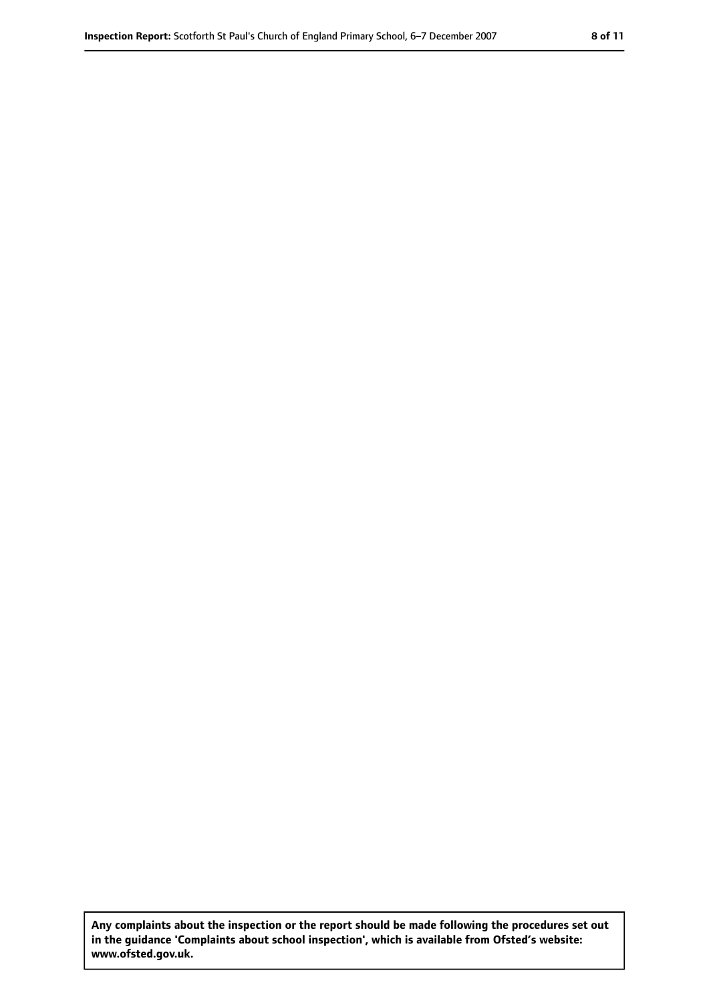**Any complaints about the inspection or the report should be made following the procedures set out in the guidance 'Complaints about school inspection', which is available from Ofsted's website: www.ofsted.gov.uk.**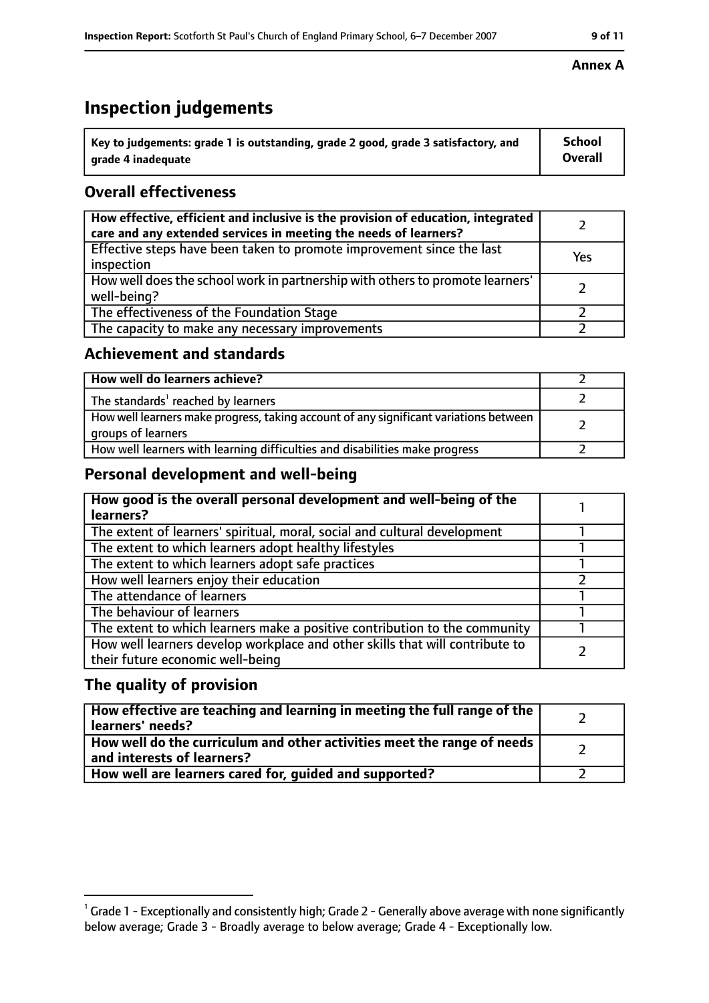# **Inspection judgements**

| $\lq$ Key to judgements: grade 1 is outstanding, grade 2 good, grade 3 satisfactory, and | School         |
|------------------------------------------------------------------------------------------|----------------|
| arade 4 inadequate                                                                       | <b>Overall</b> |

## **Overall effectiveness**

| How effective, efficient and inclusive is the provision of education, integrated<br>care and any extended services in meeting the needs of learners? |     |
|------------------------------------------------------------------------------------------------------------------------------------------------------|-----|
| Effective steps have been taken to promote improvement since the last<br>inspection                                                                  | Yes |
| How well does the school work in partnership with others to promote learners'<br>well-being?                                                         |     |
| The effectiveness of the Foundation Stage                                                                                                            |     |
| The capacity to make any necessary improvements                                                                                                      |     |

#### **Achievement and standards**

| How well do learners achieve?                                                                               |  |
|-------------------------------------------------------------------------------------------------------------|--|
| The standards <sup>1</sup> reached by learners                                                              |  |
| How well learners make progress, taking account of any significant variations between<br>groups of learners |  |
| How well learners with learning difficulties and disabilities make progress                                 |  |

## **Personal development and well-being**

| How good is the overall personal development and well-being of the<br>learners?                                  |  |
|------------------------------------------------------------------------------------------------------------------|--|
| The extent of learners' spiritual, moral, social and cultural development                                        |  |
| The extent to which learners adopt healthy lifestyles                                                            |  |
| The extent to which learners adopt safe practices                                                                |  |
| How well learners enjoy their education                                                                          |  |
| The attendance of learners                                                                                       |  |
| The behaviour of learners                                                                                        |  |
| The extent to which learners make a positive contribution to the community                                       |  |
| How well learners develop workplace and other skills that will contribute to<br>their future economic well-being |  |

## **The quality of provision**

| How effective are teaching and learning in meeting the full range of the<br>learners' needs?          |  |
|-------------------------------------------------------------------------------------------------------|--|
| How well do the curriculum and other activities meet the range of needs<br>and interests of learners? |  |
| How well are learners cared for, quided and supported?                                                |  |

#### **Annex A**

 $^1$  Grade 1 - Exceptionally and consistently high; Grade 2 - Generally above average with none significantly below average; Grade 3 - Broadly average to below average; Grade 4 - Exceptionally low.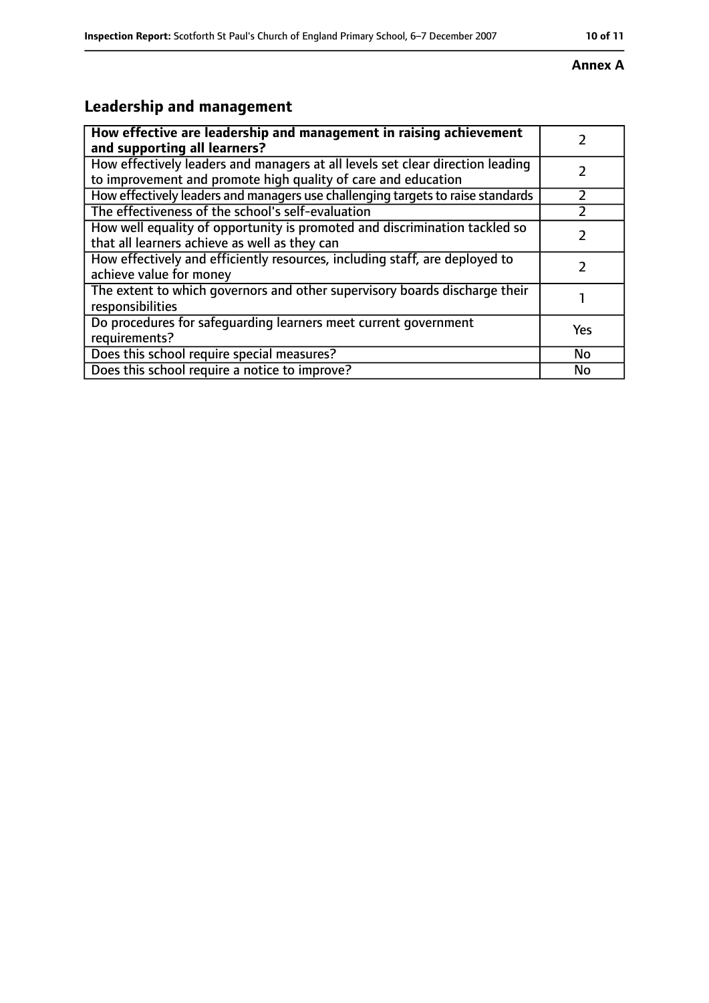# **Annex A**

# **Leadership and management**

| How effective are leadership and management in raising achievement<br>and supporting all learners?                                              |     |
|-------------------------------------------------------------------------------------------------------------------------------------------------|-----|
| How effectively leaders and managers at all levels set clear direction leading<br>to improvement and promote high quality of care and education |     |
| How effectively leaders and managers use challenging targets to raise standards                                                                 |     |
| The effectiveness of the school's self-evaluation                                                                                               |     |
| How well equality of opportunity is promoted and discrimination tackled so<br>that all learners achieve as well as they can                     |     |
| How effectively and efficiently resources, including staff, are deployed to<br>achieve value for money                                          |     |
| The extent to which governors and other supervisory boards discharge their<br>responsibilities                                                  |     |
| Do procedures for safequarding learners meet current government<br>requirements?                                                                | Yes |
| Does this school require special measures?                                                                                                      | No  |
| Does this school require a notice to improve?                                                                                                   | No  |